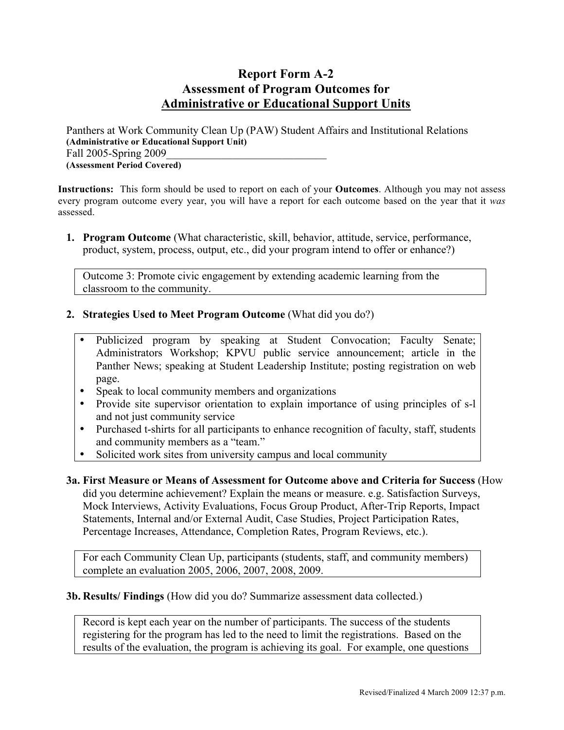## **Report Form A-2 Assessment of Program Outcomes for Administrative or Educational Support Units**

Panthers at Work Community Clean Up (PAW) Student Affairs and Institutional Relations **(Administrative or Educational Support Unit)** Fall 2005-Spring 2009 **(Assessment Period Covered)**

**Instructions:** This form should be used to report on each of your **Outcomes**. Although you may not assess every program outcome every year, you will have a report for each outcome based on the year that it *was* assessed.

**1. Program Outcome** (What characteristic, skill, behavior, attitude, service, performance, product, system, process, output, etc., did your program intend to offer or enhance?)

Outcome 3: Promote civic engagement by extending academic learning from the classroom to the community.

- **2. Strategies Used to Meet Program Outcome** (What did you do?)
	- Publicized program by speaking at Student Convocation; Faculty Senate; Administrators Workshop; KPVU public service announcement; article in the Panther News; speaking at Student Leadership Institute; posting registration on web page.
	- Speak to local community members and organizations
	- Provide site supervisor orientation to explain importance of using principles of s-l and not just community service
	- Purchased t-shirts for all participants to enhance recognition of faculty, staff, students and community members as a "team."
	- Solicited work sites from university campus and local community

**3a. First Measure or Means of Assessment for Outcome above and Criteria for Success** (How did you determine achievement? Explain the means or measure. e.g. Satisfaction Surveys, Mock Interviews, Activity Evaluations, Focus Group Product, After-Trip Reports, Impact Statements, Internal and/or External Audit, Case Studies, Project Participation Rates, Percentage Increases, Attendance, Completion Rates, Program Reviews, etc.).

For each Community Clean Up, participants (students, staff, and community members) complete an evaluation 2005, 2006, 2007, 2008, 2009.

## **3b. Results/ Findings** (How did you do? Summarize assessment data collected.)

Record is kept each year on the number of participants. The success of the students registering for the program has led to the need to limit the registrations. Based on the results of the evaluation, the program is achieving its goal. For example, one questions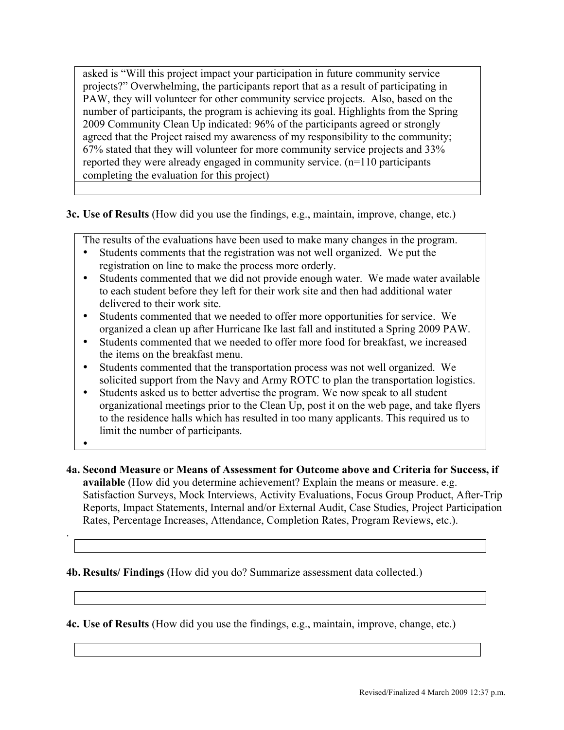asked is "Will this project impact your participation in future community service projects?" Overwhelming, the participants report that as a result of participating in PAW, they will volunteer for other community service projects. Also, based on the number of participants, the program is achieving its goal. Highlights from the Spring 2009 Community Clean Up indicated: 96% of the participants agreed or strongly agreed that the Project raised my awareness of my responsibility to the community; 67% stated that they will volunteer for more community service projects and 33% reported they were already engaged in community service. (n=110 participants completing the evaluation for this project)

**3c. Use of Results** (How did you use the findings, e.g., maintain, improve, change, etc.)

The results of the evaluations have been used to make many changes in the program.

- Students comments that the registration was not well organized. We put the registration on line to make the process more orderly.
- Students commented that we did not provide enough water. We made water available to each student before they left for their work site and then had additional water delivered to their work site.
- Students commented that we needed to offer more opportunities for service. We organized a clean up after Hurricane Ike last fall and instituted a Spring 2009 PAW.
- Students commented that we needed to offer more food for breakfast, we increased the items on the breakfast menu.
- Students commented that the transportation process was not well organized. We solicited support from the Navy and Army ROTC to plan the transportation logistics.
- Students asked us to better advertise the program. We now speak to all student organizational meetings prior to the Clean Up, post it on the web page, and take flyers to the residence halls which has resulted in too many applicants. This required us to limit the number of participants.
- •

.

**4a. Second Measure or Means of Assessment for Outcome above and Criteria for Success, if available** (How did you determine achievement? Explain the means or measure. e.g. Satisfaction Surveys, Mock Interviews, Activity Evaluations, Focus Group Product, After-Trip Reports, Impact Statements, Internal and/or External Audit, Case Studies, Project Participation Rates, Percentage Increases, Attendance, Completion Rates, Program Reviews, etc.).

## **4b. Results/ Findings** (How did you do? Summarize assessment data collected.)

**4c. Use of Results** (How did you use the findings, e.g., maintain, improve, change, etc.)